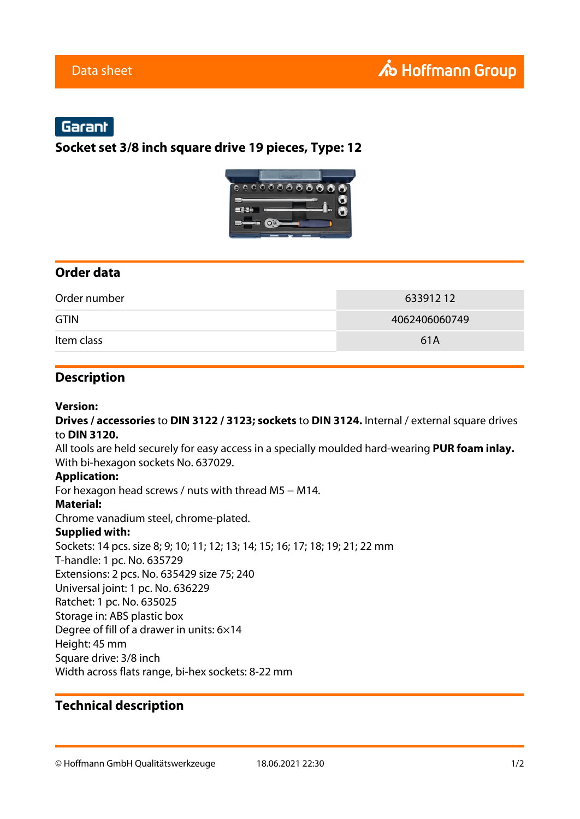# Garant

## **Socket set 3/8 inch square drive 19 pieces, Type: 12**



## **Order data**

| Order number | 63391212      |
|--------------|---------------|
| <b>GTIN</b>  | 4062406060749 |
| Item class   | 61A           |

## **Description**

#### **Version:**

**Drives / accessories** to **DIN 3122 / 3123; sockets** to **DIN 3124.** Internal / external square drives to **DIN 3120.**

All tools are held securely for easy access in a specially moulded hard-wearing **PUR foam inlay.** With bi-hexagon sockets No. 637029.

#### **Application:**

For hexagon head screws / nuts with thread M5 − M14.

#### **Material:**

Chrome vanadium steel, chrome-plated.

#### **Supplied with:**

Sockets: 14 pcs. size 8; 9; 10; 11; 12; 13; 14; 15; 16; 17; 18; 19; 21; 22 mm T-handle: 1 pc. No. 635729 Extensions: 2 pcs. No. 635429 size 75; 240 Universal joint: 1 pc. No. 636229 Ratchet: 1 pc. No. 635025 Storage in: ABS plastic box Degree of fill of a drawer in units: 6×14 Height: 45 mm Square drive: 3/8 inch Width across flats range, bi-hex sockets: 8-22 mm

## **Technical description**